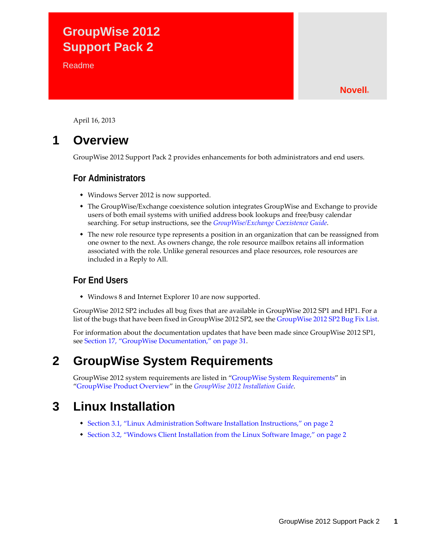# **GroupWise 2012 Support Pack 2**

**Readme** 

### **Novell®**

April 16, 2013

# **1 Overview**

GroupWise 2012 Support Pack 2 provides enhancements for both administrators and end users.

### **For Administrators**

- Windows Server 2012 is now supported.
- The GroupWise/Exchange coexistence solution integrates GroupWise and Exchange to provide users of both email systems with unified address book lookups and free/busy calendar searching. For setup instructions, see the *GroupWise/Exchange Coexistence Guide*.
- The new role resource type represents a position in an organization that can be reassigned from one owner to the next. As owners change, the role resource mailbox retains all information associated with the role. Unlike general resources and place resources, role resources are included in a Reply to All.

## **For End Users**

Windows 8 and Internet Explorer 10 are now supported.

GroupWise 2012 SP2 includes all bug fixes that are available in GroupWise 2012 SP1 and HP1. For a list of the bugs that have been fixed in GroupWise 2012 SP2, see the [GroupWise 2012 SP2 Bug Fix List](https://www.novell.com/documentation/groupwise2012/gw2012_bug_fix_list/gw2012sp2_bugfixlist.html).

For information about the documentation updates that have been made since GroupWise 2012 SP1, see [Section 17, "GroupWise Documentation," on page 31](#page-30-0).

# **2 GroupWise System Requirements**

GroupWise 2012 system requirements are listed in "GroupWise System Requirements" in "GroupWise Product Overview" in the *GroupWise 2012 Installation Guide*.

# **3 Linux Installation**

- [Section 3.1, "Linux Administration Software Installation Instructions," on page 2](#page-1-0)
- [Section 3.2, "Windows Client Installation from the Linux Software Image," on page 2](#page-1-1)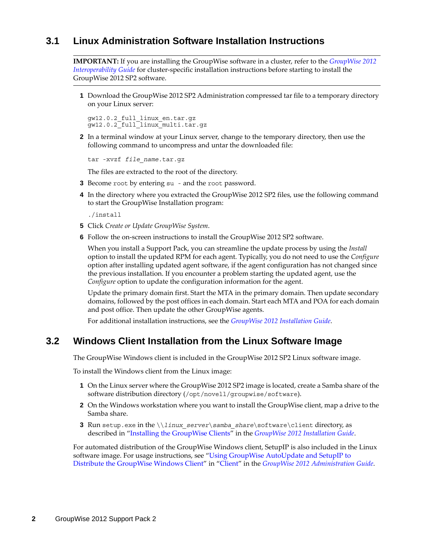## <span id="page-1-0"></span>**3.1 Linux Administration Software Installation Instructions**

**IMPORTANT:** If you are installing the GroupWise software in a cluster, refer to the *GroupWise 2012 Interoperability Guide* for cluster-specific installation instructions before starting to install the GroupWise 2012 SP2 software.

**1** Download the GroupWise 2012 SP2 Administration compressed tar file to a temporary directory on your Linux server:

gw12.0.2\_full\_linux\_en.tar.gz gw12.0.2\_full\_linux\_multi.tar.gz

**2** In a terminal window at your Linux server, change to the temporary directory, then use the following command to uncompress and untar the downloaded file:

tar -xvzf *file\_name*.tar.gz

The files are extracted to the root of the directory.

- **3** Become root by entering su and the root password.
- **4** In the directory where you extracted the GroupWise 2012 SP2 files, use the following command to start the GroupWise Installation program:

./install

- **5** Click *Create or Update GroupWise System*.
- **6** Follow the on-screen instructions to install the GroupWise 2012 SP2 software.

When you install a Support Pack, you can streamline the update process by using the *Install* option to install the updated RPM for each agent. Typically, you do not need to use the *Configure* option after installing updated agent software, if the agent configuration has not changed since the previous installation. If you encounter a problem starting the updated agent, use the *Configure* option to update the configuration information for the agent.

Update the primary domain first. Start the MTA in the primary domain. Then update secondary domains, followed by the post offices in each domain. Start each MTA and POA for each domain and post office. Then update the other GroupWise agents.

For additional installation instructions, see the *GroupWise 2012 Installation Guide*.

### <span id="page-1-1"></span>**3.2 Windows Client Installation from the Linux Software Image**

The GroupWise Windows client is included in the GroupWise 2012 SP2 Linux software image.

To install the Windows client from the Linux image:

- **1** On the Linux server where the GroupWise 2012 SP2 image is located, create a Samba share of the software distribution directory (/opt/novell/groupwise/software).
- **2** On the Windows workstation where you want to install the GroupWise client, map a drive to the Samba share.
- **3** Run setup.exe in the \\*linux\_server*\*samba\_share*\software\client directory, as described in "Installing the GroupWise Clients" in the *GroupWise 2012 Installation Guide*.

For automated distribution of the GroupWise Windows client, SetupIP is also included in the Linux software image. For usage instructions, see "Using GroupWise AutoUpdate and SetupIP to Distribute the GroupWise Windows Client" in "Client" in the *GroupWise 2012 Administration Guide*.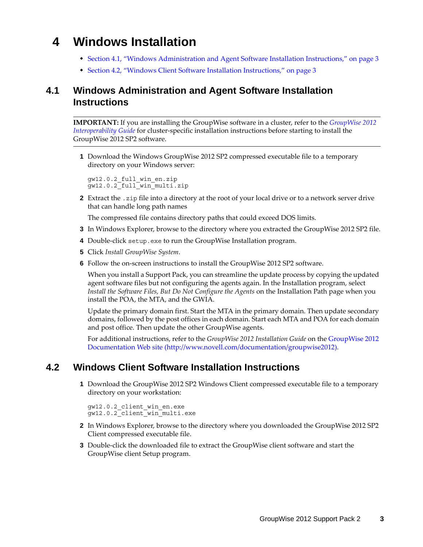# **4 Windows Installation**

- [Section 4.1, "Windows Administration and Agent Software Installation Instructions," on page 3](#page-2-0)
- [Section 4.2, "Windows Client Software Installation Instructions," on page 3](#page-2-1)

# <span id="page-2-0"></span>**4.1 Windows Administration and Agent Software Installation Instructions**

**IMPORTANT:** If you are installing the GroupWise software in a cluster, refer to the *[GroupWise 2012](http://www.novell.com/documentation/groupwise2012/pdfdoc/gw2012_guide_interop/gw2012_guide_interop.pdf#A20gkue)  [Interoperability Guide](http://www.novell.com/documentation/groupwise2012/pdfdoc/gw2012_guide_interop/gw2012_guide_interop.pdf#A20gkue)* for cluster-specific installation instructions before starting to install the GroupWise 2012 SP2 software.

**1** Download the Windows GroupWise 2012 SP2 compressed executable file to a temporary directory on your Windows server:

```
gw12.0.2_full_win_en.zip
gw12.0.2_full_win_multi.zip
```
**2** Extract the .zip file into a directory at the root of your local drive or to a network server drive that can handle long path names

The compressed file contains directory paths that could exceed DOS limits.

- **3** In Windows Explorer, browse to the directory where you extracted the GroupWise 2012 SP2 file.
- **4** Double-click setup.exe to run the GroupWise Installation program.
- **5** Click *Install GroupWise System*.
- **6** Follow the on-screen instructions to install the GroupWise 2012 SP2 software.

When you install a Support Pack, you can streamline the update process by copying the updated agent software files but not configuring the agents again. In the Installation program, select *Install the Software Files, But Do Not Configure the Agents* on the Installation Path page when you install the POA, the MTA, and the GWIA.

Update the primary domain first. Start the MTA in the primary domain. Then update secondary domains, followed by the post offices in each domain. Start each MTA and POA for each domain and post office. Then update the other GroupWise agents.

For additional instructions, refer to the *GroupWise 2012 Installation Guide* on the [GroupWise 2012](http://www.novell.com/documentation/groupwise2012)  [Documentation Web site](http://www.novell.com/documentation/groupwise2012) (http://www.novell.com/documentation/groupwise2012).

## <span id="page-2-1"></span>**4.2 Windows Client Software Installation Instructions**

**1** Download the GroupWise 2012 SP2 Windows Client compressed executable file to a temporary directory on your workstation:

```
gw12.0.2_client_win_en.exe
gw12.0.2_client_win_multi.exe
```
- **2** In Windows Explorer, browse to the directory where you downloaded the GroupWise 2012 SP2 Client compressed executable file.
- **3** Double-click the downloaded file to extract the GroupWise client software and start the GroupWise client Setup program.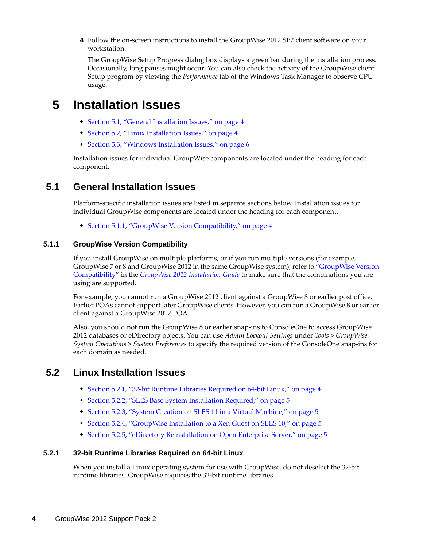**4** Follow the on-screen instructions to install the GroupWise 2012 SP2 client software on your workstation.

The GroupWise Setup Progress dialog box displays a green bar during the installation process. Occasionally, long pauses might occur. You can also check the activity of the GroupWise client Setup program by viewing the *Performance* tab of the Windows Task Manager to observe CPU usage.

# **5 Installation Issues**

- [Section 5.1, "General Installation Issues," on page 4](#page-3-0)
- [Section 5.2, "Linux Installation Issues," on page 4](#page-3-1)
- [Section 5.3, "Windows Installation Issues," on page 6](#page-5-0)

Installation issues for individual GroupWise components are located under the heading for each component.

## <span id="page-3-0"></span>**5.1 General Installation Issues**

Platform-specific installation issues are listed in separate sections below. Installation issues for individual GroupWise components are located under the heading for each component.

[Section 5.1.1, "GroupWise Version Compatibility," on page 4](#page-3-2)

#### <span id="page-3-2"></span>**5.1.1 GroupWise Version Compatibility**

If you install GroupWise on multiple platforms, or if you run multiple versions (for example, GroupWise 7 or 8 and GroupWise 2012 in the same GroupWise system), refer to "GroupWise Version Compatibility" in the *GroupWise 2012 Installation Guide* to make sure that the combinations you are using are supported.

For example, you cannot run a GroupWise 2012 client against a GroupWise 8 or earlier post office. Earlier POAs cannot support later GroupWise clients. However, you can run a GroupWise 8 or earlier client against a GroupWise 2012 POA.

Also, you should not run the GroupWise 8 or earlier snap-ins to ConsoleOne to access GroupWise 2012 databases or eDirectory objects. You can use *Admin Lockout Settings* under *Tools > GroupWise System Operations > System Preferences* to specify the required version of the ConsoleOne snap-ins for each domain as needed.

### <span id="page-3-1"></span>**5.2 Linux Installation Issues**

- [Section 5.2.1, "32-bit Runtime Libraries Required on 64-bit Linux," on page 4](#page-3-3)
- [Section 5.2.2, "SLES Base System Installation Required," on page 5](#page-4-0)
- [Section 5.2.3, "System Creation on SLES 11 in a Virtual Machine," on page 5](#page-4-1)
- [Section 5.2.4, "GroupWise Installation to a Xen Guest on SLES 10," on page 5](#page-4-2)
- [Section 5.2.5, "eDirectory Reinstallation on Open Enterprise Server," on page 5](#page-4-3)

#### <span id="page-3-3"></span>**5.2.1 32-bit Runtime Libraries Required on 64-bit Linux**

When you install a Linux operating system for use with GroupWise, do not deselect the 32-bit runtime libraries. GroupWise requires the 32-bit runtime libraries.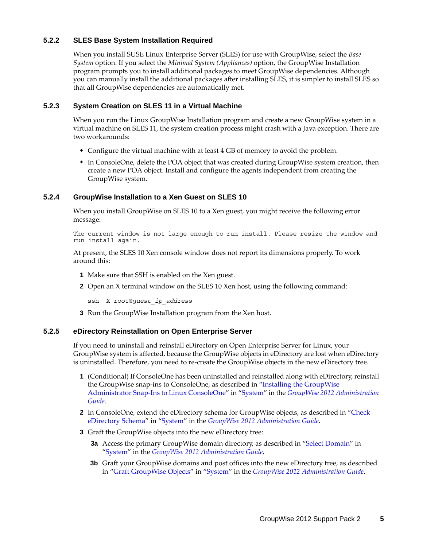#### <span id="page-4-0"></span>**5.2.2 SLES Base System Installation Required**

When you install SUSE Linux Enterprise Server (SLES) for use with GroupWise, select the *Base System* option. If you select the *Minimal System (Appliances)* option, the GroupWise Installation program prompts you to install additional packages to meet GroupWise dependencies. Although you can manually install the additional packages after installing SLES, it is simpler to install SLES so that all GroupWise dependencies are automatically met.

#### <span id="page-4-1"></span>**5.2.3 System Creation on SLES 11 in a Virtual Machine**

When you run the Linux GroupWise Installation program and create a new GroupWise system in a virtual machine on SLES 11, the system creation process might crash with a Java exception. There are two workarounds:

- Configure the virtual machine with at least 4 GB of memory to avoid the problem.
- In ConsoleOne, delete the POA object that was created during GroupWise system creation, then create a new POA object. Install and configure the agents independent from creating the GroupWise system.

#### <span id="page-4-2"></span>**5.2.4 GroupWise Installation to a Xen Guest on SLES 10**

When you install GroupWise on SLES 10 to a Xen guest, you might receive the following error message:

The current window is not large enough to run install. Please resize the window and run install again.

At present, the SLES 10 Xen console window does not report its dimensions properly. To work around this:

- **1** Make sure that SSH is enabled on the Xen guest.
- **2** Open an X terminal window on the SLES 10 Xen host, using the following command:

ssh -X root@*guest\_ip\_address*

**3** Run the GroupWise Installation program from the Xen host.

#### <span id="page-4-3"></span>**5.2.5 eDirectory Reinstallation on Open Enterprise Server**

If you need to uninstall and reinstall eDirectory on Open Enterprise Server for Linux, your GroupWise system is affected, because the GroupWise objects in eDirectory are lost when eDirectory is uninstalled. Therefore, you need to re-create the GroupWise objects in the new eDirectory tree.

- **1** (Conditional) If ConsoleOne has been uninstalled and reinstalled along with eDirectory, reinstall the GroupWise snap-ins to ConsoleOne, as described in "Installing the GroupWise Administrator Snap-Ins to Linux ConsoleOne" in "System" in the *GroupWise 2012 Administration Guide*.
- **2** In ConsoleOne, extend the eDirectory schema for GroupWise objects, as described in "Check eDirectory Schema" in "System" in the *GroupWise 2012 Administration Guide*.
- **3** Graft the GroupWise objects into the new eDirectory tree:
	- **3a** Access the primary GroupWise domain directory, as described in "Select Domain" in "System" in the *GroupWise 2012 Administration Guide*.
	- **3b** Graft your GroupWise domains and post offices into the new eDirectory tree, as described in "Graft GroupWise Objects" in "System" in the *GroupWise 2012 Administration Guide*.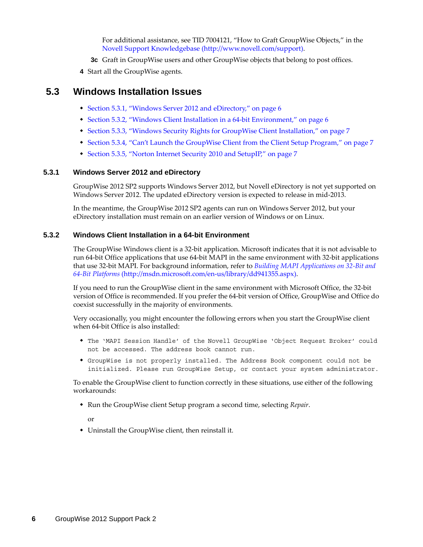For additional assistance, see TID 7004121, "How to Graft GroupWise Objects," in the [Novell Support Knowledgebase](http://www.novell.com/support) (http://www.novell.com/support).

- **3c** Graft in GroupWise users and other GroupWise objects that belong to post offices.
- **4** Start all the GroupWise agents.

### <span id="page-5-0"></span>**5.3 Windows Installation Issues**

- [Section 5.3.1, "Windows Server 2012 and eDirectory," on page 6](#page-5-1)
- [Section 5.3.2, "Windows Client Installation in a 64-bit Environment," on page 6](#page-5-2)
- [Section 5.3.3, "Windows Security Rights for GroupWise Client Installation," on page 7](#page-6-0)
- [Section 5.3.4, "Can't Launch the GroupWise Client from the Client Setup Program," on page 7](#page-6-1)
- [Section 5.3.5, "Norton Internet Security 2010 and SetupIP," on page 7](#page-6-2)

#### <span id="page-5-1"></span>**5.3.1 Windows Server 2012 and eDirectory**

GroupWise 2012 SP2 supports Windows Server 2012, but Novell eDirectory is not yet supported on Windows Server 2012. The updated eDirectory version is expected to release in mid-2013.

In the meantime, the GroupWise 2012 SP2 agents can run on Windows Server 2012, but your eDirectory installation must remain on an earlier version of Windows or on Linux.

#### <span id="page-5-2"></span>**5.3.2 Windows Client Installation in a 64-bit Environment**

The GroupWise Windows client is a 32-bit application. Microsoft indicates that it is not advisable to run 64-bit Office applications that use 64-bit MAPI in the same environment with 32-bit applications that use 32-bit MAPI. For background information, refer to *[Building MAPI Applications on 32-Bit and](http://msdn.microsoft.com/en-us/library/dd941355.aspx)  [64-Bit Platforms](http://msdn.microsoft.com/en-us/library/dd941355.aspx)* (http://msdn.microsoft.com/en-us/library/dd941355.aspx).

If you need to run the GroupWise client in the same environment with Microsoft Office, the 32-bit version of Office is recommended. If you prefer the 64-bit version of Office, GroupWise and Office do coexist successfully in the majority of environments.

Very occasionally, you might encounter the following errors when you start the GroupWise client when 64-bit Office is also installed:

- The 'MAPI Session Handle' of the Novell GroupWise 'Object Request Broker' could not be accessed. The address book cannot run.
- GroupWise is not properly installed. The Address Book component could not be initialized. Please run GroupWise Setup, or contact your system administrator.

To enable the GroupWise client to function correctly in these situations, use either of the following workarounds:

Run the GroupWise client Setup program a second time, selecting *Repair*.

or

Uninstall the GroupWise client, then reinstall it.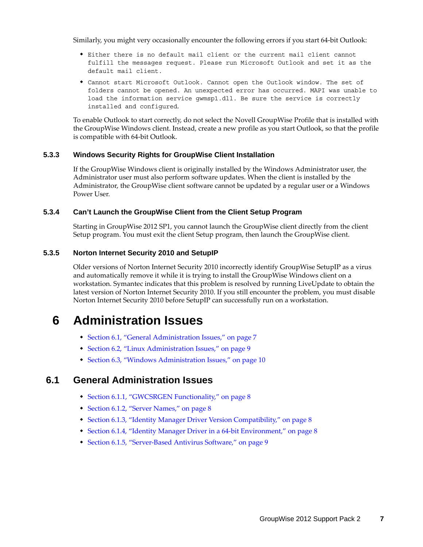Similarly, you might very occasionally encounter the following errors if you start 64-bit Outlook:

- Either there is no default mail client or the current mail client cannot fulfill the messages request. Please run Microsoft Outlook and set it as the default mail client.
- Cannot start Microsoft Outlook. Cannot open the Outlook window. The set of folders cannot be opened. An unexpected error has occurred. MAPI was unable to load the information service gwmsp1.dll. Be sure the service is correctly installed and configured.

To enable Outlook to start correctly, do not select the Novell GroupWise Profile that is installed with the GroupWise Windows client. Instead, create a new profile as you start Outlook, so that the profile is compatible with 64-bit Outlook.

#### <span id="page-6-0"></span>**5.3.3 Windows Security Rights for GroupWise Client Installation**

If the GroupWise Windows client is originally installed by the Windows Administrator user, the Administrator user must also perform software updates. When the client is installed by the Administrator, the GroupWise client software cannot be updated by a regular user or a Windows Power User.

#### <span id="page-6-1"></span>**5.3.4 Can't Launch the GroupWise Client from the Client Setup Program**

Starting in GroupWise 2012 SP1, you cannot launch the GroupWise client directly from the client Setup program. You must exit the client Setup program, then launch the GroupWise client.

#### <span id="page-6-2"></span>**5.3.5 Norton Internet Security 2010 and SetupIP**

Older versions of Norton Internet Security 2010 incorrectly identify GroupWise SetupIP as a virus and automatically remove it while it is trying to install the GroupWise Windows client on a workstation. Symantec indicates that this problem is resolved by running LiveUpdate to obtain the latest version of Norton Internet Security 2010. If you still encounter the problem, you must disable Norton Internet Security 2010 before SetupIP can successfully run on a workstation.

# **6 Administration Issues**

- [Section 6.1, "General Administration Issues," on page 7](#page-6-3)
- [Section 6.2, "Linux Administration Issues," on page 9](#page-8-0)
- [Section 6.3, "Windows Administration Issues," on page 10](#page-9-0)

## <span id="page-6-3"></span>**6.1 General Administration Issues**

- [Section 6.1.1, "GWCSRGEN Functionality," on page 8](#page-7-0)
- [Section 6.1.2, "Server Names," on page 8](#page-7-1)
- [Section 6.1.3, "Identity Manager Driver Version Compatibility," on page 8](#page-7-2)
- [Section 6.1.4, "Identity Manager Driver in a 64-bit Environment," on page 8](#page-7-3)
- [Section 6.1.5, "Server-Based Antivirus Software," on page 9](#page-8-1)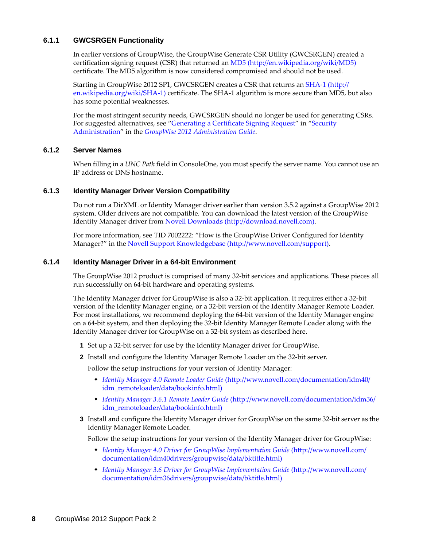#### <span id="page-7-0"></span>**6.1.1 GWCSRGEN Functionality**

In earlier versions of GroupWise, the GroupWise Generate CSR Utility (GWCSRGEN) created a certification signing request (CSR) that returned an [MD5](http://en.wikipedia.org/wiki/MD5) (http://en.wikipedia.org/wiki/MD5) certificate. The MD5 algorithm is now considered compromised and should not be used.

Starting in GroupWise 2012 SP1, GWCSRGEN creates a CSR that returns an [SHA-1](http://en.wikipedia.org/wiki/SHA-1) (http:// en.wikipedia.org/wiki/SHA-1) certificate. The SHA-1 algorithm is more secure than MD5, but also has some potential weaknesses.

For the most stringent security needs, GWCSRGEN should no longer be used for generating CSRs. For suggested alternatives, see "Generating a Certificate Signing Request" in "Security Administration" in the *GroupWise 2012 Administration Guide*.

#### <span id="page-7-1"></span>**6.1.2 Server Names**

When filling in a *UNC Path* field in ConsoleOne, you must specify the server name. You cannot use an IP address or DNS hostname.

#### <span id="page-7-2"></span>**6.1.3 Identity Manager Driver Version Compatibility**

Do not run a DirXML or Identity Manager driver earlier than version 3.5.2 against a GroupWise 2012 system. Older drivers are not compatible. You can download the latest version of the GroupWise Identity Manager driver from [Novell Downloads](http://download.novell.com) (http://download.novell.com).

For more information, see TID 7002222: "How is the GroupWise Driver Configured for Identity Manager?" in the [Novell Support Knowledgebase](http://www.novell.com/support) (http://www.novell.com/support).

#### <span id="page-7-3"></span>**6.1.4 Identity Manager Driver in a 64-bit Environment**

The GroupWise 2012 product is comprised of many 32-bit services and applications. These pieces all run successfully on 64-bit hardware and operating systems.

The Identity Manager driver for GroupWise is also a 32-bit application. It requires either a 32-bit version of the Identity Manager engine, or a 32-bit version of the Identity Manager Remote Loader. For most installations, we recommend deploying the 64-bit version of the Identity Manager engine on a 64-bit system, and then deploying the 32-bit Identity Manager Remote Loader along with the Identity Manager driver for GroupWise on a 32-bit system as described here.

- **1** Set up a 32-bit server for use by the Identity Manager driver for GroupWise.
- **2** Install and configure the Identity Manager Remote Loader on the 32-bit server.

Follow the setup instructions for your version of Identity Manager:

- *[Identity Manager 4.0 Remote Loader Guide](http://www.novell.com/documentation/idm40/idm_remoteloader/data/bookinfo.html)* (http://www.novell.com/documentation/idm40/ idm\_remoteloader/data/bookinfo.html)
- *[Identity Manager 3.6.1 Remote Loader Guide](http://www.novell.com/documentation/idm36/idm_remoteloader/data/bookinfo.html)* (http://www.novell.com/documentation/idm36/ idm\_remoteloader/data/bookinfo.html)
- **3** Install and configure the Identity Manager driver for GroupWise on the same 32-bit server as the Identity Manager Remote Loader.

Follow the setup instructions for your version of the Identity Manager driver for GroupWise:

- *[Identity Manager 4.0 Driver for GroupWise Implementation Guide](http://www.novell.com/documentation/idm40drivers/groupwise/data/bktitle.html)* (http://www.novell.com/ documentation/idm40drivers/groupwise/data/bktitle.html)
- *[Identity Manager 3.6 Driver for GroupWise Implementation Guide](http://www.novell.com/documentation/idm36drivers/groupwise/data/bktitle.html)* (http://www.novell.com/ documentation/idm36drivers/groupwise/data/bktitle.html)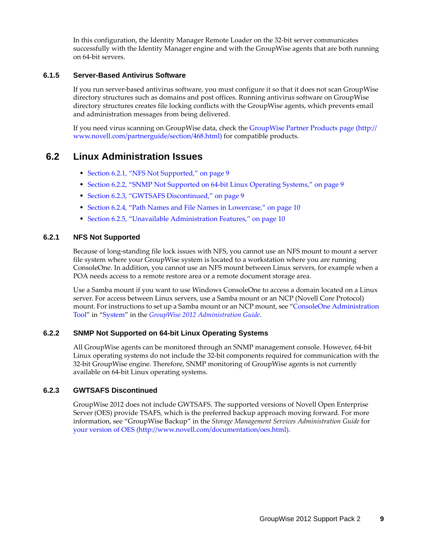In this configuration, the Identity Manager Remote Loader on the 32-bit server communicates successfully with the Identity Manager engine and with the GroupWise agents that are both running on 64-bit servers.

#### <span id="page-8-1"></span>**6.1.5 Server-Based Antivirus Software**

If you run server-based antivirus software, you must configure it so that it does not scan GroupWise directory structures such as domains and post offices. Running antivirus software on GroupWise directory structures creates file locking conflicts with the GroupWise agents, which prevents email and administration messages from being delivered.

If you need virus scanning on GroupWise data, check the [GroupWise Partner Products page](http://www.novell.com/partnerguide/section/468.html) (http:// www.novell.com/partnerguide/section/468.html) for compatible products.

### <span id="page-8-0"></span>**6.2 Linux Administration Issues**

- [Section 6.2.1, "NFS Not Supported," on page 9](#page-8-2)
- [Section 6.2.2, "SNMP Not Supported on 64-bit Linux Operating Systems," on page 9](#page-8-3)
- [Section 6.2.3, "GWTSAFS Discontinued," on page 9](#page-8-4)
- [Section 6.2.4, "Path Names and File Names in Lowercase," on page 10](#page-9-1)
- [Section 6.2.5, "Unavailable Administration Features," on page 10](#page-9-2)

#### <span id="page-8-2"></span>**6.2.1 NFS Not Supported**

Because of long-standing file lock issues with NFS, you cannot use an NFS mount to mount a server file system where your GroupWise system is located to a workstation where you are running ConsoleOne. In addition, you cannot use an NFS mount between Linux servers, for example when a POA needs access to a remote restore area or a remote document storage area.

Use a Samba mount if you want to use Windows ConsoleOne to access a domain located on a Linux server. For access between Linux servers, use a Samba mount or an NCP (Novell Core Protocol) mount. For instructions to set up a Samba mount or an NCP mount, see "ConsoleOne Administration Tool" in "System" in the *GroupWise 2012 Administration Guide*.

#### <span id="page-8-3"></span>**6.2.2 SNMP Not Supported on 64-bit Linux Operating Systems**

All GroupWise agents can be monitored through an SNMP management console. However, 64-bit Linux operating systems do not include the 32-bit components required for communication with the 32-bit GroupWise engine. Therefore, SNMP monitoring of GroupWise agents is not currently available on 64-bit Linux operating systems.

#### <span id="page-8-4"></span>**6.2.3 GWTSAFS Discontinued**

GroupWise 2012 does not include GWTSAFS. The supported versions of Novell Open Enterprise Server (OES) provide TSAFS, which is the preferred backup approach moving forward. For more information, see "GroupWise Backup" in the *Storage Management Services Administration Guide* for [your version of OES](http://www.novell.com/documentation/oes.html) (http://www.novell.com/documentation/oes.html).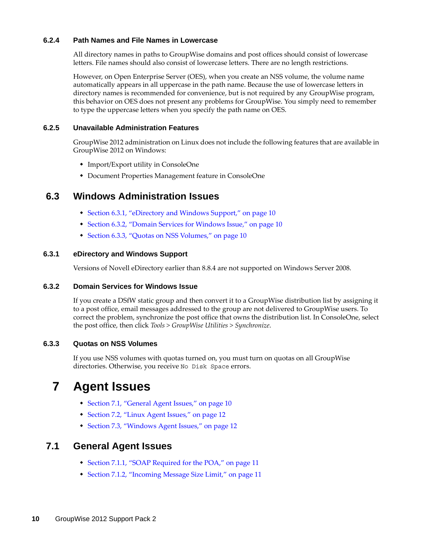#### <span id="page-9-1"></span>**6.2.4 Path Names and File Names in Lowercase**

All directory names in paths to GroupWise domains and post offices should consist of lowercase letters. File names should also consist of lowercase letters. There are no length restrictions.

However, on Open Enterprise Server (OES), when you create an NSS volume, the volume name automatically appears in all uppercase in the path name. Because the use of lowercase letters in directory names is recommended for convenience, but is not required by any GroupWise program, this behavior on OES does not present any problems for GroupWise. You simply need to remember to type the uppercase letters when you specify the path name on OES.

#### <span id="page-9-2"></span>**6.2.5 Unavailable Administration Features**

GroupWise 2012 administration on Linux does not include the following features that are available in GroupWise 2012 on Windows:

- Import/Export utility in ConsoleOne
- Document Properties Management feature in ConsoleOne

## <span id="page-9-0"></span>**6.3 Windows Administration Issues**

- [Section 6.3.1, "eDirectory and Windows Support," on page 10](#page-9-3)
- [Section 6.3.2, "Domain Services for Windows Issue," on page 10](#page-9-4)
- [Section 6.3.3, "Quotas on NSS Volumes," on page 10](#page-9-5)

#### <span id="page-9-3"></span>**6.3.1 eDirectory and Windows Support**

Versions of Novell eDirectory earlier than 8.8.4 are not supported on Windows Server 2008.

#### <span id="page-9-4"></span>**6.3.2 Domain Services for Windows Issue**

If you create a DSfW static group and then convert it to a GroupWise distribution list by assigning it to a post office, email messages addressed to the group are not delivered to GroupWise users. To correct the problem, synchronize the post office that owns the distribution list. In ConsoleOne, select the post office, then click *Tools > GroupWise Utilities > Synchronize*.

#### <span id="page-9-5"></span>**6.3.3 Quotas on NSS Volumes**

If you use NSS volumes with quotas turned on, you must turn on quotas on all GroupWise directories. Otherwise, you receive No Disk Space errors.

# **7 Agent Issues**

- [Section 7.1, "General Agent Issues," on page 10](#page-9-6)
- [Section 7.2, "Linux Agent Issues," on page 12](#page-11-0)
- [Section 7.3, "Windows Agent Issues," on page 12](#page-11-1)

### <span id="page-9-6"></span>**7.1 General Agent Issues**

- [Section 7.1.1, "SOAP Required for the POA," on page 11](#page-10-0)
- [Section 7.1.2, "Incoming Message Size Limit," on page 11](#page-10-1)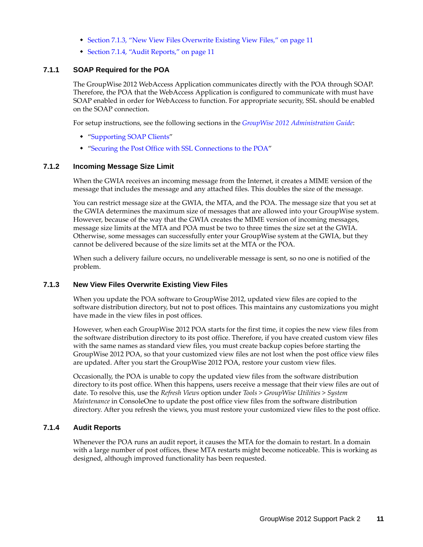- [Section 7.1.3, "New View Files Overwrite Existing View Files," on page 11](#page-10-2)
- [Section 7.1.4, "Audit Reports," on page 11](#page-10-3)

#### <span id="page-10-0"></span>**7.1.1 SOAP Required for the POA**

The GroupWise 2012 WebAccess Application communicates directly with the POA through SOAP. Therefore, the POA that the WebAccess Application is configured to communicate with must have SOAP enabled in order for WebAccess to function. For appropriate security, SSL should be enabled on the SOAP connection.

For setup instructions, see the following sections in the *GroupWise 2012 Administration Guide*:

- "Supporting SOAP Clients"
- "Securing the Post Office with SSL Connections to the POA"

#### <span id="page-10-1"></span>**7.1.2 Incoming Message Size Limit**

When the GWIA receives an incoming message from the Internet, it creates a MIME version of the message that includes the message and any attached files. This doubles the size of the message.

You can restrict message size at the GWIA, the MTA, and the POA. The message size that you set at the GWIA determines the maximum size of messages that are allowed into your GroupWise system. However, because of the way that the GWIA creates the MIME version of incoming messages, message size limits at the MTA and POA must be two to three times the size set at the GWIA. Otherwise, some messages can successfully enter your GroupWise system at the GWIA, but they cannot be delivered because of the size limits set at the MTA or the POA.

When such a delivery failure occurs, no undeliverable message is sent, so no one is notified of the problem.

#### <span id="page-10-2"></span>**7.1.3 New View Files Overwrite Existing View Files**

When you update the POA software to GroupWise 2012, updated view files are copied to the software distribution directory, but not to post offices. This maintains any customizations you might have made in the view files in post offices.

However, when each GroupWise 2012 POA starts for the first time, it copies the new view files from the software distribution directory to its post office. Therefore, if you have created custom view files with the same names as standard view files, you must create backup copies before starting the GroupWise 2012 POA, so that your customized view files are not lost when the post office view files are updated. After you start the GroupWise 2012 POA, restore your custom view files.

Occasionally, the POA is unable to copy the updated view files from the software distribution directory to its post office. When this happens, users receive a message that their view files are out of date. To resolve this, use the *Refresh Views* option under *Tools* > *GroupWise Utilities* > *System Maintenance* in ConsoleOne to update the post office view files from the software distribution directory. After you refresh the views, you must restore your customized view files to the post office.

#### <span id="page-10-3"></span>**7.1.4 Audit Reports**

Whenever the POA runs an audit report, it causes the MTA for the domain to restart. In a domain with a large number of post offices, these MTA restarts might become noticeable. This is working as designed, although improved functionality has been requested.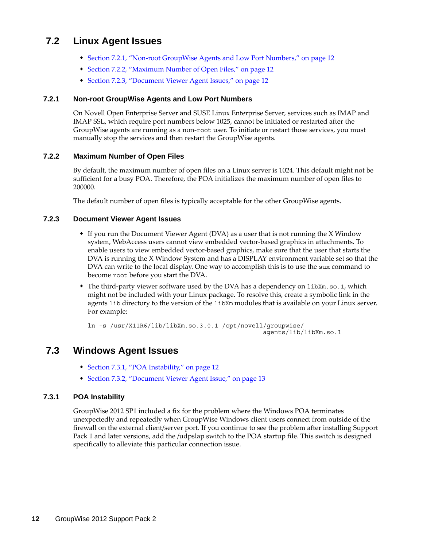## <span id="page-11-0"></span>**7.2 Linux Agent Issues**

- [Section 7.2.1, "Non-root GroupWise Agents and Low Port Numbers," on page 12](#page-11-2)
- [Section 7.2.2, "Maximum Number of Open Files," on page 12](#page-11-3)
- [Section 7.2.3, "Document Viewer Agent Issues," on page 12](#page-11-4)

#### <span id="page-11-2"></span>**7.2.1 Non-root GroupWise Agents and Low Port Numbers**

On Novell Open Enterprise Server and SUSE Linux Enterprise Server, services such as IMAP and IMAP SSL, which require port numbers below 1025, cannot be initiated or restarted after the GroupWise agents are running as a non-root user. To initiate or restart those services, you must manually stop the services and then restart the GroupWise agents.

#### <span id="page-11-3"></span>**7.2.2 Maximum Number of Open Files**

By default, the maximum number of open files on a Linux server is 1024. This default might not be sufficient for a busy POA. Therefore, the POA initializes the maximum number of open files to 200000.

The default number of open files is typically acceptable for the other GroupWise agents.

#### <span id="page-11-4"></span>**7.2.3 Document Viewer Agent Issues**

- If you run the Document Viewer Agent (DVA) as a user that is not running the X Window system, WebAccess users cannot view embedded vector-based graphics in attachments. To enable users to view embedded vector-based graphics, make sure that the user that starts the DVA is running the X Window System and has a DISPLAY environment variable set so that the DVA can write to the local display. One way to accomplish this is to use the sux command to become root before you start the DVA.
- The third-party viewer software used by the DVA has a dependency on libXm.so.1, which might not be included with your Linux package. To resolve this, create a symbolic link in the agents lib directory to the version of the libXm modules that is available on your Linux server. For example:

ln -s /usr/X11R6/lib/libXm.so.3.0.1 /opt/novell/groupwise/ agents/lib/libXm.so.1

## <span id="page-11-1"></span>**7.3 Windows Agent Issues**

- [Section 7.3.1, "POA Instability," on page 12](#page-11-5)
- [Section 7.3.2, "Document Viewer Agent Issue," on page 13](#page-12-0)

#### <span id="page-11-5"></span>**7.3.1 POA Instability**

GroupWise 2012 SP1 included a fix for the problem where the Windows POA terminates unexpectedly and repeatedly when GroupWise Windows client users connect from outside of the firewall on the external client/server port. If you continue to see the problem after installing Support Pack 1 and later versions, add the /udpslap switch to the POA startup file. This switch is designed specifically to alleviate this particular connection issue.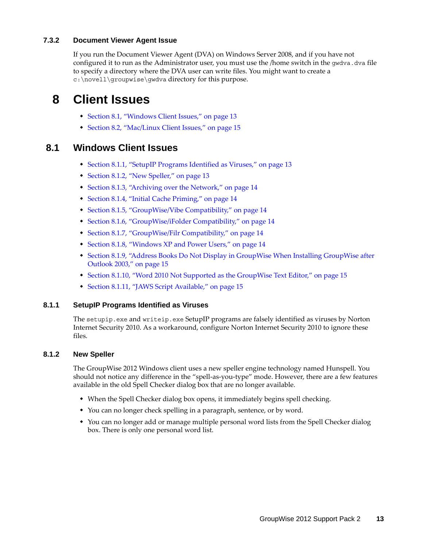#### <span id="page-12-0"></span>**7.3.2 Document Viewer Agent Issue**

If you run the Document Viewer Agent (DVA) on Windows Server 2008, and if you have not configured it to run as the Administrator user, you must use the /home switch in the gwdva.dva file to specify a directory where the DVA user can write files. You might want to create a c:\novell\groupwise\gwdva directory for this purpose.

# **8 Client Issues**

- [Section 8.1, "Windows Client Issues," on page 13](#page-12-1)
- [Section 8.2, "Mac/Linux Client Issues," on page 15](#page-14-0)

### <span id="page-12-1"></span>**8.1 Windows Client Issues**

- [Section 8.1.1, "SetupIP Programs Identified as Viruses," on page 13](#page-12-2)
- [Section 8.1.2, "New Speller," on page 13](#page-12-3)
- [Section 8.1.3, "Archiving over the Network," on page 14](#page-13-0)
- [Section 8.1.4, "Initial Cache Priming," on page 14](#page-13-1)
- [Section 8.1.5, "GroupWise/Vibe Compatibility," on page 14](#page-13-2)
- [Section 8.1.6, "GroupWise/iFolder Compatibility," on page 14](#page-13-3)
- [Section 8.1.7, "GroupWise/Filr Compatibility," on page 14](#page-13-4)
- [Section 8.1.8, "Windows XP and Power Users," on page 14](#page-13-5)
- [Section 8.1.9, "Address Books Do Not Display in GroupWise When Installing GroupWise after](#page-14-1)  [Outlook 2003," on page 15](#page-14-1)
- [Section 8.1.10, "Word 2010 Not Supported as the GroupWise Text Editor," on page 15](#page-14-2)
- [Section 8.1.11, "JAWS Script Available," on page 15](#page-14-3)

#### <span id="page-12-2"></span>**8.1.1 SetupIP Programs Identified as Viruses**

The setupip.exe and writeip.exe SetupIP programs are falsely identified as viruses by Norton Internet Security 2010. As a workaround, configure Norton Internet Security 2010 to ignore these files.

#### <span id="page-12-3"></span>**8.1.2 New Speller**

The GroupWise 2012 Windows client uses a new speller engine technology named Hunspell. You should not notice any difference in the "spell-as-you-type" mode. However, there are a few features available in the old Spell Checker dialog box that are no longer available.

- When the Spell Checker dialog box opens, it immediately begins spell checking.
- You can no longer check spelling in a paragraph, sentence, or by word.
- You can no longer add or manage multiple personal word lists from the Spell Checker dialog box. There is only one personal word list.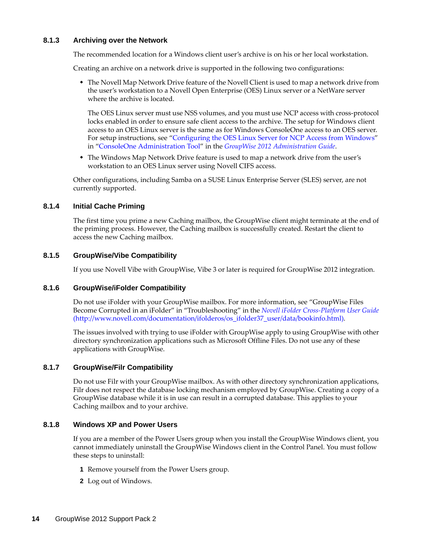#### <span id="page-13-0"></span>**8.1.3 Archiving over the Network**

The recommended location for a Windows client user's archive is on his or her local workstation.

Creating an archive on a network drive is supported in the following two configurations:

 The Novell Map Network Drive feature of the Novell Client is used to map a network drive from the user's workstation to a Novell Open Enterprise (OES) Linux server or a NetWare server where the archive is located.

The OES Linux server must use NSS volumes, and you must use NCP access with cross-protocol locks enabled in order to ensure safe client access to the archive. The setup for Windows client access to an OES Linux server is the same as for Windows ConsoleOne access to an OES server. For setup instructions, see "Configuring the OES Linux Server for NCP Access from Windows" in "ConsoleOne Administration Tool" in the *GroupWise 2012 Administration Guide*.

• The Windows Map Network Drive feature is used to map a network drive from the user's workstation to an OES Linux server using Novell CIFS access.

Other configurations, including Samba on a SUSE Linux Enterprise Server (SLES) server, are not currently supported.

#### <span id="page-13-1"></span>**8.1.4 Initial Cache Priming**

The first time you prime a new Caching mailbox, the GroupWise client might terminate at the end of the priming process. However, the Caching mailbox is successfully created. Restart the client to access the new Caching mailbox.

#### <span id="page-13-2"></span>**8.1.5 GroupWise/Vibe Compatibility**

If you use Novell Vibe with GroupWise, Vibe 3 or later is required for GroupWise 2012 integration.

#### <span id="page-13-3"></span>**8.1.6 GroupWise/iFolder Compatibility**

Do not use iFolder with your GroupWise mailbox. For more information, see "GroupWise Files Become Corrupted in an iFolder" in "Troubleshooting" in the *[Novell iFolder Cross-Platform User Guide](http://www.novell.com/documentation/ifolderos/os_ifolder37_user/data/bookinfo.html)* (http://www.novell.com/documentation/ifolderos/os\_ifolder37\_user/data/bookinfo.html).

The issues involved with trying to use iFolder with GroupWise apply to using GroupWise with other directory synchronization applications such as Microsoft Offline Files. Do not use any of these applications with GroupWise.

#### <span id="page-13-4"></span>**8.1.7 GroupWise/Filr Compatibility**

Do not use Filr with your GroupWise mailbox. As with other directory synchronization applications, Filr does not respect the database locking mechanism employed by GroupWise. Creating a copy of a GroupWise database while it is in use can result in a corrupted database. This applies to your Caching mailbox and to your archive.

#### <span id="page-13-5"></span>**8.1.8 Windows XP and Power Users**

If you are a member of the Power Users group when you install the GroupWise Windows client, you cannot immediately uninstall the GroupWise Windows client in the Control Panel. You must follow these steps to uninstall:

- **1** Remove yourself from the Power Users group.
- **2** Log out of Windows.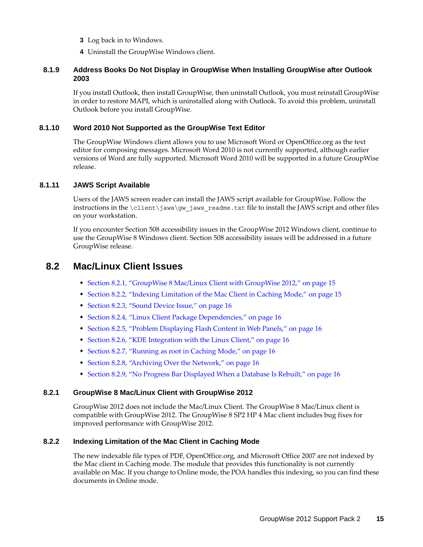- **3** Log back in to Windows.
- **4** Uninstall the GroupWise Windows client.

#### <span id="page-14-1"></span>**8.1.9 Address Books Do Not Display in GroupWise When Installing GroupWise after Outlook 2003**

If you install Outlook, then install GroupWise, then uninstall Outlook, you must reinstall GroupWise in order to restore MAPI, which is uninstalled along with Outlook. To avoid this problem, uninstall Outlook before you install GroupWise.

#### <span id="page-14-2"></span>**8.1.10 Word 2010 Not Supported as the GroupWise Text Editor**

The GroupWise Windows client allows you to use Microsoft Word or OpenOffice.org as the text editor for composing messages. Microsoft Word 2010 is not currently supported, although earlier versions of Word are fully supported. Microsoft Word 2010 will be supported in a future GroupWise release.

#### <span id="page-14-3"></span>**8.1.11 JAWS Script Available**

Users of the JAWS screen reader can install the JAWS script available for GroupWise. Follow the instructions in the  $\clap{\text{client}}jaws\gtrap{\text{gw}}jaws\ readme.txt$  file to install the JAWS script and other files on your workstation.

If you encounter Section 508 accessibility issues in the GroupWise 2012 Windows client, continue to use the GroupWise 8 Windows client. Section 508 accessibility issues will be addressed in a future GroupWise release.

### <span id="page-14-0"></span>**8.2 Mac/Linux Client Issues**

- [Section 8.2.1, "GroupWise 8 Mac/Linux Client with GroupWise 2012," on page 15](#page-14-4)
- \* [Section 8.2.2, "Indexing Limitation of the Mac Client in Caching Mode," on page 15](#page-14-5)
- [Section 8.2.3, "Sound Device Issue," on page 16](#page-15-0)
- [Section 8.2.4, "Linux Client Package Dependencies," on page 16](#page-15-1)
- [Section 8.2.5, "Problem Displaying Flash Content in Web Panels," on page 16](#page-15-2)
- [Section 8.2.6, "KDE Integration with the Linux Client," on page 16](#page-15-3)
- [Section 8.2.7, "Running as root in Caching Mode," on page 16](#page-15-4)
- [Section 8.2.8, "Archiving Over the Network," on page 16](#page-15-5)
- [Section 8.2.9, "No Progress Bar Displayed When a Database Is Rebuilt," on page 16](#page-15-6)

#### <span id="page-14-4"></span>**8.2.1 GroupWise 8 Mac/Linux Client with GroupWise 2012**

GroupWise 2012 does not include the Mac/Linux Client. The GroupWise 8 Mac/Linux client is compatible with GroupWise 2012. The GroupWise 8 SP2 HP 4 Mac client includes bug fixes for improved performance with GroupWise 2012.

#### <span id="page-14-5"></span>**8.2.2 Indexing Limitation of the Mac Client in Caching Mode**

The new indexable file types of PDF, OpenOffice.org, and Microsoft Office 2007 are not indexed by the Mac client in Caching mode. The module that provides this functionality is not currently available on Mac. If you change to Online mode, the POA handles this indexing, so you can find these documents in Online mode.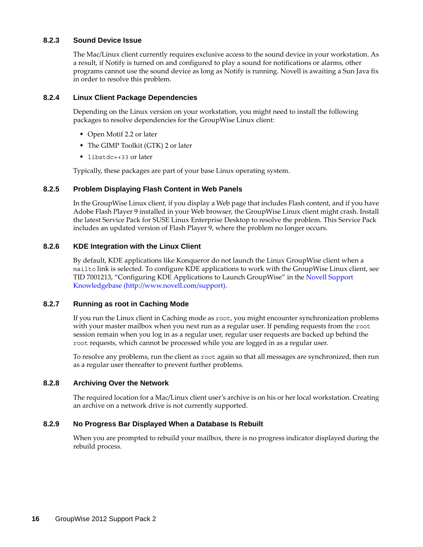#### <span id="page-15-0"></span>**8.2.3 Sound Device Issue**

The Mac/Linux client currently requires exclusive access to the sound device in your workstation. As a result, if Notify is turned on and configured to play a sound for notifications or alarms, other programs cannot use the sound device as long as Notify is running. Novell is awaiting a Sun Java fix in order to resolve this problem.

#### <span id="page-15-1"></span>**8.2.4 Linux Client Package Dependencies**

Depending on the Linux version on your workstation, you might need to install the following packages to resolve dependencies for the GroupWise Linux client:

- Open Motif 2.2 or later
- The GIMP Toolkit (GTK) 2 or later
- libstdc++33 or later

Typically, these packages are part of your base Linux operating system.

#### <span id="page-15-2"></span>**8.2.5 Problem Displaying Flash Content in Web Panels**

In the GroupWise Linux client, if you display a Web page that includes Flash content, and if you have Adobe Flash Player 9 installed in your Web browser, the GroupWise Linux client might crash. Install the latest Service Pack for SUSE Linux Enterprise Desktop to resolve the problem. This Service Pack includes an updated version of Flash Player 9, where the problem no longer occurs.

#### <span id="page-15-3"></span>**8.2.6 KDE Integration with the Linux Client**

By default, KDE applications like Konqueror do not launch the Linux GroupWise client when a mailto link is selected. To configure KDE applications to work with the GroupWise Linux client, see TID 7001213, "Configuring KDE Applications to Launch GroupWise" in the [Novell Support](http://www.novell.com/support)  [Knowledgebase](http://www.novell.com/support) (http://www.novell.com/support).

#### <span id="page-15-4"></span>**8.2.7 Running as root in Caching Mode**

If you run the Linux client in Caching mode as root, you might encounter synchronization problems with your master mailbox when you next run as a regular user. If pending requests from the root session remain when you log in as a regular user, regular user requests are backed up behind the root requests, which cannot be processed while you are logged in as a regular user.

To resolve any problems, run the client as root again so that all messages are synchronized, then run as a regular user thereafter to prevent further problems.

#### <span id="page-15-5"></span>**8.2.8 Archiving Over the Network**

The required location for a Mac/Linux client user's archive is on his or her local workstation. Creating an archive on a network drive is not currently supported.

#### <span id="page-15-6"></span>**8.2.9 No Progress Bar Displayed When a Database Is Rebuilt**

When you are prompted to rebuild your mailbox, there is no progress indicator displayed during the rebuild process.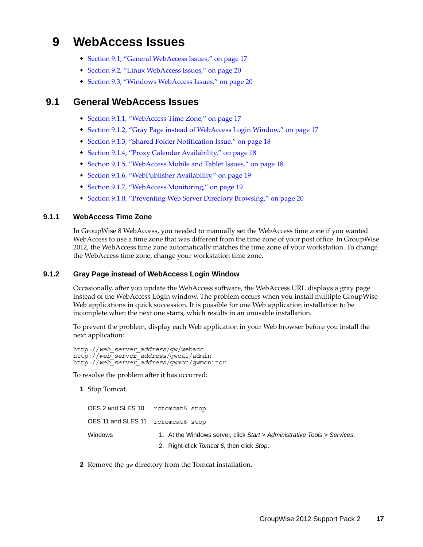# **9 WebAccess Issues**

- [Section 9.1, "General WebAccess Issues," on page 17](#page-16-0)
- [Section 9.2, "Linux WebAccess Issues," on page 20](#page-19-0)
- [Section 9.3, "Windows WebAccess Issues," on page 20](#page-19-1)

## <span id="page-16-0"></span>**9.1 General WebAccess Issues**

- [Section 9.1.1, "WebAccess Time Zone," on page 17](#page-16-1)
- [Section 9.1.2, "Gray Page instead of WebAccess Login Window," on page 17](#page-16-2)
- [Section 9.1.3, "Shared Folder Notification Issue," on page 18](#page-17-0)
- [Section 9.1.4, "Proxy Calendar Availability," on page 18](#page-17-1)
- [Section 9.1.5, "WebAccess Mobile and Tablet Issues," on page 18](#page-17-2)
- [Section 9.1.6, "WebPublisher Availability," on page 19](#page-18-0)
- [Section 9.1.7, "WebAccess Monitoring," on page 19](#page-18-1)
- [Section 9.1.8, "Preventing Web Server Directory Browsing," on page 20](#page-19-2)

#### <span id="page-16-1"></span>**9.1.1 WebAccess Time Zone**

In GroupWise 8 WebAccess, you needed to manually set the WebAccess time zone if you wanted WebAccess to use a time zone that was different from the time zone of your post office. In GroupWise 2012, the WebAccess time zone automatically matches the time zone of your workstation. To change the WebAccess time zone, change your workstation time zone.

#### <span id="page-16-2"></span>**9.1.2 Gray Page instead of WebAccess Login Window**

Occasionally, after you update the WebAccess software, the WebAccess URL displays a gray page instead of the WebAccess Login window. The problem occurs when you install multiple GroupWise Web applications in quick succession. It is possible for one Web application installation to be incomplete when the next one starts, which results in an unusable installation.

To prevent the problem, display each Web application in your Web browser before you install the next application:

http://*web\_server\_address*/gw/webacc http://*web\_server\_address*/gwcal/admin http://*web\_server\_address*/gwmon/gwmonitor

To resolve the problem after it has occurred:

**1** Stop Tomcat.

| OES 2 and SLES 10 retomeat5 stop |                                                                          |
|----------------------------------|--------------------------------------------------------------------------|
| OES11 and SLES11 rctomcat6 stop  |                                                                          |
| Windows                          | 1. At the Windows server, click Start > Administrative Tools > Services. |
|                                  | 2. Right-click Tomcat 6, then click Stop.                                |

**2** Remove the gw directory from the Tomcat installation.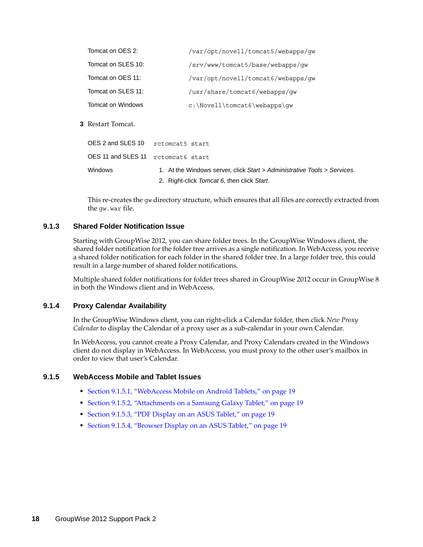| Tomcat on OES 2:   | /var/opt/novell/tomcat5/webapps/qw |
|--------------------|------------------------------------|
| Tomcat on SLES 10: | /srv/www/tomcat5/base/webapps/qw   |
| Tomcat on OES 11:  | /var/opt/novell/tomcat6/webapps/qw |
| Tomcat on SLES 11: | /usr/share/tomcat6/webapps/qw      |
| Tomcat on Windows  | $c:\Novell\tomcat6\webapps\qw$     |

**3** Restart Tomcat.

| OES 2 and SLES 10                  | rctomcat5 start                                                          |
|------------------------------------|--------------------------------------------------------------------------|
| OES 11 and SLES 11 retomeat6 start |                                                                          |
| <b>Windows</b>                     | 1. At the Windows server, click Start > Administrative Tools > Services. |
|                                    | 2. Right-click Tomcat 6, then click Start.                               |

This re-creates the gw directory structure, which ensures that all files are correctly extracted from the gw.war file.

#### <span id="page-17-0"></span>**9.1.3 Shared Folder Notification Issue**

Starting with GroupWise 2012, you can share folder trees. In the GroupWise Windows client, the shared folder notification for the folder tree arrives as a single notification. In WebAccess, you receive a shared folder notification for each folder in the shared folder tree. In a large folder tree, this could result in a large number of shared folder notifications.

Multiple shared folder notifications for folder trees shared in GroupWise 2012 occur in GroupWise 8 in both the Windows client and in WebAccess.

#### <span id="page-17-1"></span>**9.1.4 Proxy Calendar Availability**

In the GroupWise Windows client, you can right-click a Calendar folder, then click *New Proxy Calendar* to display the Calendar of a proxy user as a sub-calendar in your own Calendar.

In WebAccess, you cannot create a Proxy Calendar, and Proxy Calendars created in the Windows client do not display in WebAccess. In WebAccess, you must proxy to the other user's mailbox in order to view that user's Calendar.

#### <span id="page-17-2"></span>**9.1.5 WebAccess Mobile and Tablet Issues**

- [Section 9.1.5.1, "WebAccess Mobile on Android Tablets," on page 19](#page-18-2)
- [Section 9.1.5.2, "Attachments on a Samsung Galaxy Tablet," on page 19](#page-18-3)
- [Section 9.1.5.3, "PDF Display on an ASUS Tablet," on page 19](#page-18-4)
- [Section 9.1.5.4, "Browser Display on an ASUS Tablet," on page 19](#page-18-5)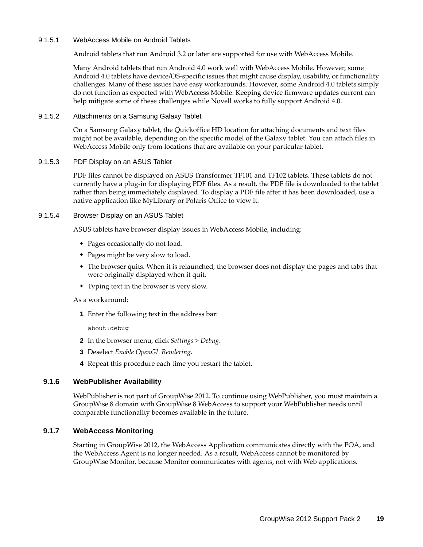#### <span id="page-18-2"></span>9.1.5.1 WebAccess Mobile on Android Tablets

Android tablets that run Android 3.2 or later are supported for use with WebAccess Mobile.

Many Android tablets that run Android 4.0 work well with WebAccess Mobile. However, some Android 4.0 tablets have device/OS-specific issues that might cause display, usability, or functionality challenges. Many of these issues have easy workarounds. However, some Android 4.0 tablets simply do not function as expected with WebAccess Mobile. Keeping device firmware updates current can help mitigate some of these challenges while Novell works to fully support Android 4.0.

#### <span id="page-18-3"></span>9.1.5.2 Attachments on a Samsung Galaxy Tablet

On a Samsung Galaxy tablet, the Quickoffice HD location for attaching documents and text files might not be available, depending on the specific model of the Galaxy tablet. You can attach files in WebAccess Mobile only from locations that are available on your particular tablet.

#### <span id="page-18-4"></span>9.1.5.3 PDF Display on an ASUS Tablet

PDF files cannot be displayed on ASUS Transformer TF101 and TF102 tablets. These tablets do not currently have a plug-in for displaying PDF files. As a result, the PDF file is downloaded to the tablet rather than being immediately displayed. To display a PDF file after it has been downloaded, use a native application like MyLibrary or Polaris Office to view it.

#### <span id="page-18-5"></span>9.1.5.4 Browser Display on an ASUS Tablet

ASUS tablets have browser display issues in WebAccess Mobile, including:

- Pages occasionally do not load.
- Pages might be very slow to load.
- The browser quits. When it is relaunched, the browser does not display the pages and tabs that were originally displayed when it quit.
- Typing text in the browser is very slow.

#### As a workaround:

**1** Enter the following text in the address bar:

about:debug

- **2** In the browser menu, click *Settings > Debug*.
- **3** Deselect *Enable OpenGL Rendering*.
- **4** Repeat this procedure each time you restart the tablet.

#### <span id="page-18-0"></span>**9.1.6 WebPublisher Availability**

WebPublisher is not part of GroupWise 2012. To continue using WebPublisher, you must maintain a GroupWise 8 domain with GroupWise 8 WebAccess to support your WebPublisher needs until comparable functionality becomes available in the future.

#### <span id="page-18-1"></span>**9.1.7 WebAccess Monitoring**

Starting in GroupWise 2012, the WebAccess Application communicates directly with the POA, and the WebAccess Agent is no longer needed. As a result, WebAccess cannot be monitored by GroupWise Monitor, because Monitor communicates with agents, not with Web applications.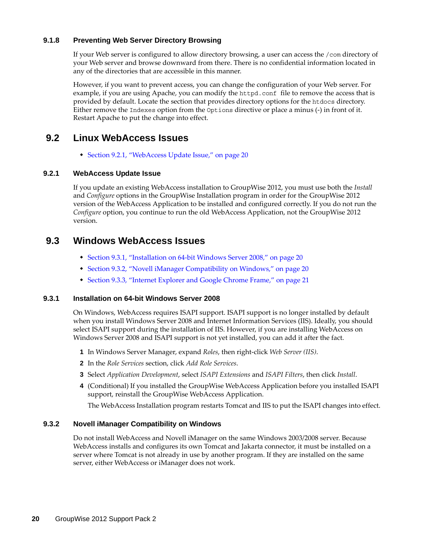#### <span id="page-19-2"></span>**9.1.8 Preventing Web Server Directory Browsing**

If your Web server is configured to allow directory browsing, a user can access the /com directory of your Web server and browse downward from there. There is no confidential information located in any of the directories that are accessible in this manner.

However, if you want to prevent access, you can change the configuration of your Web server. For example, if you are using Apache, you can modify the httpd.conf file to remove the access that is provided by default. Locate the section that provides directory options for the htdocs directory. Either remove the Indexes option from the Options directive or place a minus (-) in front of it. Restart Apache to put the change into effect.

## <span id="page-19-0"></span>**9.2 Linux WebAccess Issues**

[Section 9.2.1, "WebAccess Update Issue," on page 20](#page-19-3)

#### <span id="page-19-3"></span>**9.2.1 WebAccess Update Issue**

If you update an existing WebAccess installation to GroupWise 2012, you must use both the *Install* and *Configure* options in the GroupWise Installation program in order for the GroupWise 2012 version of the WebAccess Application to be installed and configured correctly. If you do not run the *Configure* option, you continue to run the old WebAccess Application, not the GroupWise 2012 version.

### <span id="page-19-1"></span>**9.3 Windows WebAccess Issues**

- [Section 9.3.1, "Installation on 64-bit Windows Server 2008," on page 20](#page-19-4)
- [Section 9.3.2, "Novell iManager Compatibility on Windows," on page 20](#page-19-5)
- [Section 9.3.3, "Internet Explorer and Google Chrome Frame," on page 21](#page-20-0)

#### <span id="page-19-4"></span>**9.3.1 Installation on 64-bit Windows Server 2008**

On Windows, WebAccess requires ISAPI support. ISAPI support is no longer installed by default when you install Windows Server 2008 and Internet Information Services (IIS). Ideally, you should select ISAPI support during the installation of IIS. However, if you are installing WebAccess on Windows Server 2008 and ISAPI support is not yet installed, you can add it after the fact.

- **1** In Windows Server Manager, expand *Roles*, then right-click *Web Server (IIS)*.
- **2** In the *Role Services* section, click *Add Role Services*.
- **3** Select *Application Development*, select *ISAPI Extensions* and *ISAPI Filters*, then click *Install*.
- **4** (Conditional) If you installed the GroupWise WebAccess Application before you installed ISAPI support, reinstall the GroupWise WebAccess Application.

The WebAccess Installation program restarts Tomcat and IIS to put the ISAPI changes into effect.

#### <span id="page-19-5"></span>**9.3.2 Novell iManager Compatibility on Windows**

Do not install WebAccess and Novell iManager on the same Windows 2003/2008 server. Because WebAccess installs and configures its own Tomcat and Jakarta connector, it must be installed on a server where Tomcat is not already in use by another program. If they are installed on the same server, either WebAccess or iManager does not work.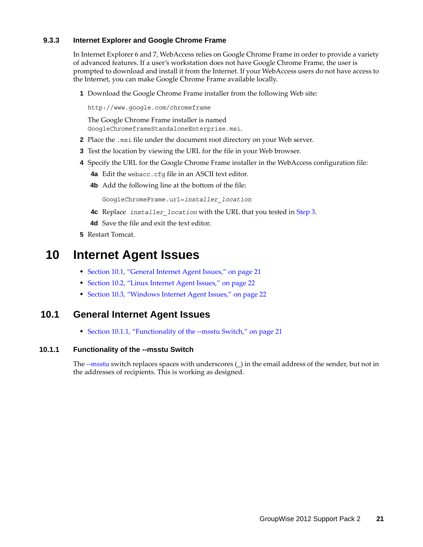#### <span id="page-20-0"></span>**9.3.3 Internet Explorer and Google Chrome Frame**

In Internet Explorer 6 and 7, WebAccess relies on Google Chrome Frame in order to provide a variety of advanced features. If a user's workstation does not have Google Chrome Frame, the user is prompted to download and install it from the Internet. If your WebAccess users do not have access to the Internet, you can make Google Chrome Frame available locally.

**1** Download the Google Chrome Frame installer from the following Web site:

http://www.google.com/chromeframe

The Google Chrome Frame installer is named GoogleChromeframeStandaloneEnterprise.msi.

- **2** Place the .msi file under the document root directory on your Web server.
- <span id="page-20-1"></span>**3** Test the location by viewing the URL for the file in your Web browser.
- **4** Specify the URL for the Google Chrome Frame installer in the WebAccess configuration file:
	- **4a** Edit the webacc.cfg file in an ASCII text editor.
	- **4b** Add the following line at the bottom of the file:

GoogleChromeFrame.url=*installer\_location*

- **4c** Replace *installer\_location* with the URL that you tested in [Step 3](#page-20-1).
- **4d** Save the file and exit the text editor.
- **5** Restart Tomcat.

# **10 Internet Agent Issues**

- [Section 10.1, "General Internet Agent Issues," on page 21](#page-20-2)
- [Section 10.2, "Linux Internet Agent Issues," on page 22](#page-21-0)
- [Section 10.3, "Windows Internet Agent Issues," on page 22](#page-21-1)

### <span id="page-20-2"></span>**10.1 General Internet Agent Issues**

• [Section 10.1.1, "Functionality of the --msstu Switch," on page 21](#page-20-3)

#### <span id="page-20-3"></span>**10.1.1 Functionality of the --msstu Switch**

The --msstu switch replaces spaces with underscores (\_) in the email address of the sender, but not in the addresses of recipients. This is working as designed.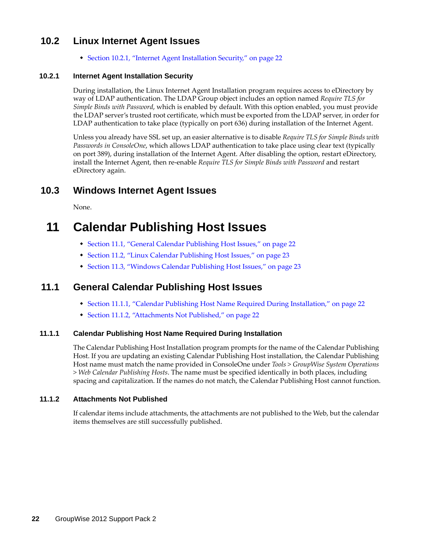# <span id="page-21-0"></span>**10.2 Linux Internet Agent Issues**

[Section 10.2.1, "Internet Agent Installation Security," on page 22](#page-21-2)

#### <span id="page-21-2"></span>**10.2.1 Internet Agent Installation Security**

During installation, the Linux Internet Agent Installation program requires access to eDirectory by way of LDAP authentication. The LDAP Group object includes an option named *Require TLS for Simple Binds with Password*, which is enabled by default. With this option enabled, you must provide the LDAP server's trusted root certificate, which must be exported from the LDAP server, in order for LDAP authentication to take place (typically on port 636) during installation of the Internet Agent.

Unless you already have SSL set up, an easier alternative is to disable *Require TLS for Simple Binds with Passwords in ConsoleOne*, which allows LDAP authentication to take place using clear text (typically on port 389), during installation of the Internet Agent. After disabling the option, restart eDirectory, install the Internet Agent, then re-enable *Require TLS for Simple Binds with Password* and restart eDirectory again.

# <span id="page-21-1"></span>**10.3 Windows Internet Agent Issues**

None.

# **11 Calendar Publishing Host Issues**

- [Section 11.1, "General Calendar Publishing Host Issues," on page 22](#page-21-3)
- [Section 11.2, "Linux Calendar Publishing Host Issues," on page 23](#page-22-0)
- [Section 11.3, "Windows Calendar Publishing Host Issues," on page 23](#page-22-1)

## <span id="page-21-3"></span>**11.1 General Calendar Publishing Host Issues**

- [Section 11.1.1, "Calendar Publishing Host Name Required During Installation," on page 22](#page-21-4)
- [Section 11.1.2, "Attachments Not Published," on page 22](#page-21-5)

#### <span id="page-21-4"></span>**11.1.1 Calendar Publishing Host Name Required During Installation**

The Calendar Publishing Host Installation program prompts for the name of the Calendar Publishing Host. If you are updating an existing Calendar Publishing Host installation, the Calendar Publishing Host name must match the name provided in ConsoleOne under *Tools > GroupWise System Operations > Web Calendar Publishing Hosts*. The name must be specified identically in both places, including spacing and capitalization. If the names do not match, the Calendar Publishing Host cannot function.

#### <span id="page-21-5"></span>**11.1.2 Attachments Not Published**

If calendar items include attachments, the attachments are not published to the Web, but the calendar items themselves are still successfully published.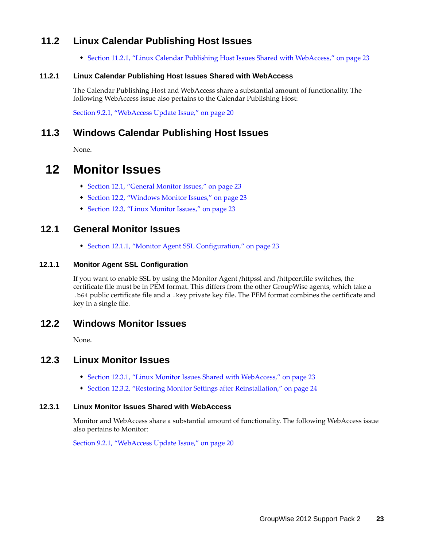# <span id="page-22-0"></span>**11.2 Linux Calendar Publishing Host Issues**

[Section 11.2.1, "Linux Calendar Publishing Host Issues Shared with WebAccess," on page 23](#page-22-2)

#### <span id="page-22-2"></span>**11.2.1 Linux Calendar Publishing Host Issues Shared with WebAccess**

The Calendar Publishing Host and WebAccess share a substantial amount of functionality. The following WebAccess issue also pertains to the Calendar Publishing Host:

[Section 9.2.1, "WebAccess Update Issue," on page 20](#page-19-3)

## <span id="page-22-1"></span>**11.3 Windows Calendar Publishing Host Issues**

None.

# **12 Monitor Issues**

- [Section 12.1, "General Monitor Issues," on page 23](#page-22-3)
- [Section 12.2, "Windows Monitor Issues," on page 23](#page-22-4)
- [Section 12.3, "Linux Monitor Issues," on page 23](#page-22-5)

### <span id="page-22-3"></span>**12.1 General Monitor Issues**

[Section 12.1.1, "Monitor Agent SSL Configuration," on page 23](#page-22-6)

#### <span id="page-22-6"></span>**12.1.1 Monitor Agent SSL Configuration**

If you want to enable SSL by using the Monitor Agent /httpssl and /httpcertfile switches, the certificate file must be in PEM format. This differs from the other GroupWise agents, which take a .b64 public certificate file and a .key private key file. The PEM format combines the certificate and key in a single file.

### <span id="page-22-4"></span>**12.2 Windows Monitor Issues**

None.

### <span id="page-22-5"></span>**12.3 Linux Monitor Issues**

- [Section 12.3.1, "Linux Monitor Issues Shared with WebAccess," on page 23](#page-22-7)
- [Section 12.3.2, "Restoring Monitor Settings after Reinstallation," on page 24](#page-23-0)

#### <span id="page-22-7"></span>**12.3.1 Linux Monitor Issues Shared with WebAccess**

Monitor and WebAccess share a substantial amount of functionality. The following WebAccess issue also pertains to Monitor:

[Section 9.2.1, "WebAccess Update Issue," on page 20](#page-19-3)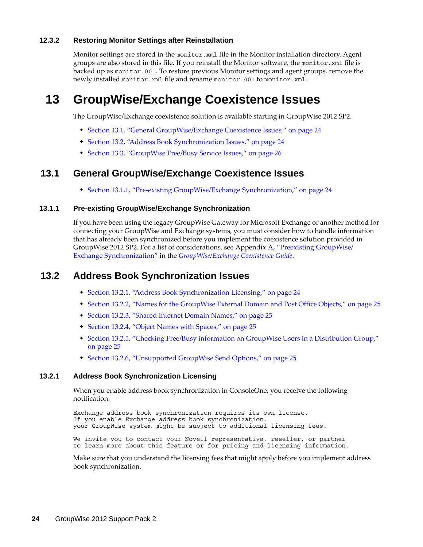#### <span id="page-23-0"></span>**12.3.2 Restoring Monitor Settings after Reinstallation**

Monitor settings are stored in the monitor. xml file in the Monitor installation directory. Agent groups are also stored in this file. If you reinstall the Monitor software, the monitor.xml file is backed up as monitor.001. To restore previous Monitor settings and agent groups, remove the newly installed monitor.xml file and rename monitor.001 to monitor.xml.

# **13 GroupWise/Exchange Coexistence Issues**

The GroupWise/Exchange coexistence solution is available starting in GroupWise 2012 SP2.

- [Section 13.1, "General GroupWise/Exchange Coexistence Issues," on page 24](#page-23-2)
- [Section 13.2, "Address Book Synchronization Issues," on page 24](#page-23-3)
- [Section 13.3, "GroupWise Free/Busy Service Issues," on page 26](#page-25-0)

### <span id="page-23-2"></span>**13.1 General GroupWise/Exchange Coexistence Issues**

[Section 13.1.1, "Pre-existing GroupWise/Exchange Synchronization," on page 24](#page-23-1)

#### <span id="page-23-1"></span>**13.1.1 Pre-existing GroupWise/Exchange Synchronization**

If you have been using the legacy GroupWise Gateway for Microsoft Exchange or another method for connecting your GroupWise and Exchange systems, you must consider how to handle information that has already been synchronized before you implement the coexistence solution provided in GroupWise 2012 SP2. For a list of considerations, see Appendix A, "Preexisting GroupWise/ Exchange Synchronization" in the *GroupWise/Exchange Coexistence Guide*.

## <span id="page-23-3"></span>**13.2 Address Book Synchronization Issues**

- [Section 13.2.1, "Address Book Synchronization Licensing," on page 24](#page-23-4)
- \* [Section 13.2.2, "Names for the GroupWise External Domain and Post Office Objects," on page 25](#page-24-3)
- [Section 13.2.3, "Shared Internet Domain Names," on page 25](#page-24-4)
- [Section 13.2.4, "Object Names with Spaces," on page 25](#page-24-0)
- [Section 13.2.5, "Checking Free/Busy information on GroupWise Users in a Distribution Group,"](#page-24-1)  [on page 25](#page-24-1)
- [Section 13.2.6, "Unsupported GroupWise Send Options," on page 25](#page-24-2)

#### <span id="page-23-4"></span>**13.2.1 Address Book Synchronization Licensing**

When you enable address book synchronization in ConsoleOne, you receive the following notification:

Exchange address book synchronization requires its own license. If you enable Exchange address book synchronization, your GroupWise system might be subject to additional licensing fees.

We invite you to contact your Novell representative, reseller, or partner to learn more about this feature or for pricing and licensing information.

Make sure that you understand the licensing fees that might apply before you implement address book synchronization.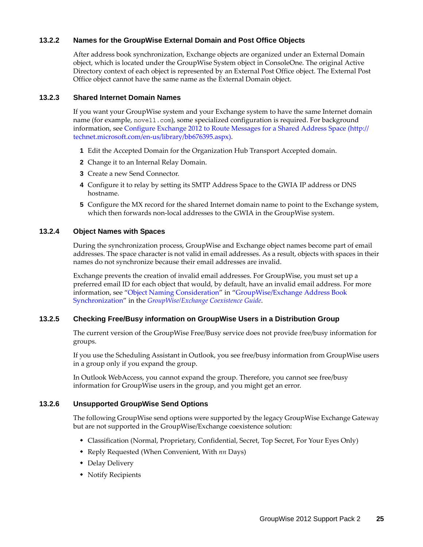#### <span id="page-24-3"></span>**13.2.2 Names for the GroupWise External Domain and Post Office Objects**

After address book synchronization, Exchange objects are organized under an External Domain object, which is located under the GroupWise System object in ConsoleOne. The original Active Directory context of each object is represented by an External Post Office object. The External Post Office object cannot have the same name as the External Domain object.

#### <span id="page-24-4"></span>**13.2.3 Shared Internet Domain Names**

If you want your GroupWise system and your Exchange system to have the same Internet domain name (for example, novell.com), some specialized configuration is required. For background information, see [Configure Exchange 2012 to Route Messages for a Shared Address Space](http://technet.microsoft.com/en-us/library/bb676395.aspx) (http:// technet.microsoft.com/en-us/library/bb676395.aspx).

- **1** Edit the Accepted Domain for the Organization Hub Transport Accepted domain.
- **2** Change it to an Internal Relay Domain.
- **3** Create a new Send Connector.
- **4** Configure it to relay by setting its SMTP Address Space to the GWIA IP address or DNS hostname.
- **5** Configure the MX record for the shared Internet domain name to point to the Exchange system, which then forwards non-local addresses to the GWIA in the GroupWise system.

#### <span id="page-24-0"></span>**13.2.4 Object Names with Spaces**

During the synchronization process, GroupWise and Exchange object names become part of email addresses. The space character is not valid in email addresses. As a result, objects with spaces in their names do not synchronize because their email addresses are invalid.

Exchange prevents the creation of invalid email addresses. For GroupWise, you must set up a preferred email ID for each object that would, by default, have an invalid email address. For more information, see "Object Naming Consideration" in "GroupWise/Exchange Address Book Synchronization" in the *GroupWise/Exchange Coexistence Guide*.

#### <span id="page-24-1"></span>**13.2.5 Checking Free/Busy information on GroupWise Users in a Distribution Group**

The current version of the GroupWise Free/Busy service does not provide free/busy information for groups.

If you use the Scheduling Assistant in Outlook, you see free/busy information from GroupWise users in a group only if you expand the group.

In Outlook WebAccess, you cannot expand the group. Therefore, you cannot see free/busy information for GroupWise users in the group, and you might get an error.

#### <span id="page-24-2"></span>**13.2.6 Unsupported GroupWise Send Options**

The following GroupWise send options were supported by the legacy GroupWise Exchange Gateway but are not supported in the GroupWise/Exchange coexistence solution:

- Classification (Normal, Proprietary, Confidential, Secret, Top Secret, For Your Eyes Only)
- Reply Requested (When Convenient, With *nn* Days)
- Delay Delivery
- Notify Recipients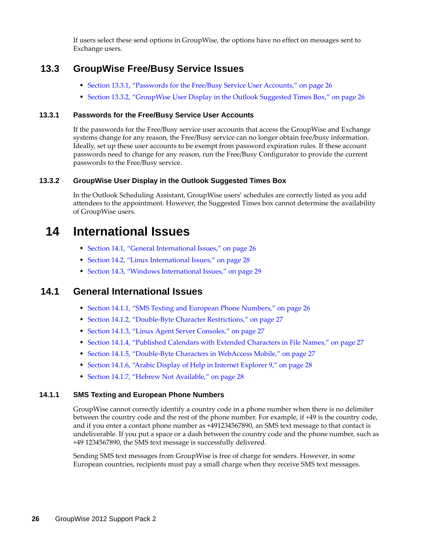If users select these send options in GroupWise, the options have no effect on messages sent to Exchange users.

## <span id="page-25-0"></span>**13.3 GroupWise Free/Busy Service Issues**

- [Section 13.3.1, "Passwords for the Free/Busy Service User Accounts," on page 26](#page-25-2)
- [Section 13.3.2, "GroupWise User Display in the Outlook Suggested Times Box," on page 26](#page-25-1)

#### <span id="page-25-2"></span>**13.3.1 Passwords for the Free/Busy Service User Accounts**

If the passwords for the Free/Busy service user accounts that access the GroupWise and Exchange systems change for any reason, the Free/Busy service can no longer obtain free/busy information. Ideally, set up these user accounts to be exempt from password expiration rules. If these account passwords need to change for any reason, run the Free/Busy Configurator to provide the current passwords to the Free/Busy service.

#### <span id="page-25-1"></span>**13.3.2 GroupWise User Display in the Outlook Suggested Times Box**

In the Outlook Scheduling Assistant, GroupWise users' schedules are correctly listed as you add attendees to the appointment. However, the Suggested Times box cannot determine the availability of GroupWise users.

# **14 International Issues**

- [Section 14.1, "General International Issues," on page 26](#page-25-3)
- [Section 14.2, "Linux International Issues," on page 28](#page-27-0)
- [Section 14.3, "Windows International Issues," on page 29](#page-28-0)

## <span id="page-25-3"></span>**14.1 General International Issues**

- [Section 14.1.1, "SMS Texting and European Phone Numbers," on page 26](#page-25-4)
- [Section 14.1.2, "Double-Byte Character Restrictions," on page 27](#page-26-0)
- [Section 14.1.3, "Linux Agent Server Consoles," on page 27](#page-26-1)
- [Section 14.1.4, "Published Calendars with Extended Characters in File Names," on page 27](#page-26-2)
- [Section 14.1.5, "Double-Byte Characters in WebAccess Mobile," on page 27](#page-26-3)
- [Section 14.1.6, "Arabic Display of Help in Internet Explorer 9," on page 28](#page-27-1)
- [Section 14.1.7, "Hebrew Not Available," on page 28](#page-27-2)

#### <span id="page-25-4"></span>**14.1.1 SMS Texting and European Phone Numbers**

GroupWise cannot correctly identify a country code in a phone number when there is no delimiter between the country code and the rest of the phone number. For example, if +49 is the country code, and if you enter a contact phone number as +491234567890, an SMS text message to that contact is undeliverable. If you put a space or a dash between the country code and the phone number, such as +49 1234567890, the SMS text message is successfully delivered.

Sending SMS text messages from GroupWise is free of charge for senders. However, in some European countries, recipients must pay a small charge when they receive SMS text messages.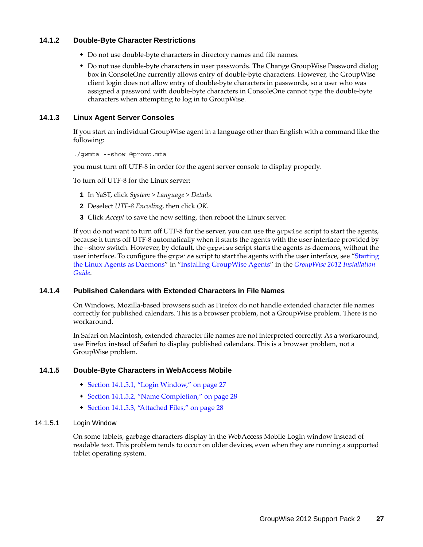#### <span id="page-26-0"></span>**14.1.2 Double-Byte Character Restrictions**

- Do not use double-byte characters in directory names and file names.
- Do not use double-byte characters in user passwords. The Change GroupWise Password dialog box in ConsoleOne currently allows entry of double-byte characters. However, the GroupWise client login does not allow entry of double-byte characters in passwords, so a user who was assigned a password with double-byte characters in ConsoleOne cannot type the double-byte characters when attempting to log in to GroupWise.

#### <span id="page-26-1"></span>**14.1.3 Linux Agent Server Consoles**

If you start an individual GroupWise agent in a language other than English with a command like the following:

./gwmta --show @provo.mta

you must turn off UTF-8 in order for the agent server console to display properly.

To turn off UTF-8 for the Linux server:

- **1** In YaST, click *System > Language > Details*.
- **2** Deselect *UTF-8 Encoding*, then click *OK*.
- **3** Click *Accept* to save the new setting, then reboot the Linux server.

If you do not want to turn off UTF-8 for the server, you can use the grpwise script to start the agents, because it turns off UTF-8 automatically when it starts the agents with the user interface provided by the --show switch. However, by default, the grpwise script starts the agents as daemons, without the user interface. To configure the grpwise script to start the agents with the user interface, see "Starting the Linux Agents as Daemons" in "Installing GroupWise Agents" in the *GroupWise 2012 Installation Guide*.

#### <span id="page-26-2"></span>**14.1.4 Published Calendars with Extended Characters in File Names**

On Windows, Mozilla-based browsers such as Firefox do not handle extended character file names correctly for published calendars. This is a browser problem, not a GroupWise problem. There is no workaround.

In Safari on Macintosh, extended character file names are not interpreted correctly. As a workaround, use Firefox instead of Safari to display published calendars. This is a browser problem, not a GroupWise problem.

#### <span id="page-26-3"></span>**14.1.5 Double-Byte Characters in WebAccess Mobile**

- [Section 14.1.5.1, "Login Window," on page 27](#page-26-4)
- [Section 14.1.5.2, "Name Completion," on page 28](#page-27-3)
- [Section 14.1.5.3, "Attached Files," on page 28](#page-27-4)

#### <span id="page-26-4"></span>14.1.5.1 Login Window

On some tablets, garbage characters display in the WebAccess Mobile Login window instead of readable text. This problem tends to occur on older devices, even when they are running a supported tablet operating system.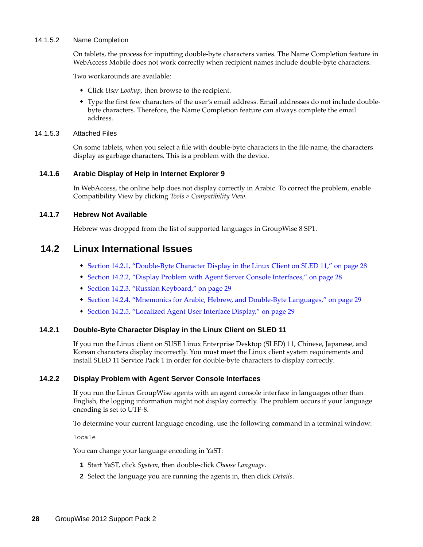#### <span id="page-27-3"></span>14.1.5.2 Name Completion

On tablets, the process for inputting double-byte characters varies. The Name Completion feature in WebAccess Mobile does not work correctly when recipient names include double-byte characters.

Two workarounds are available:

- Click *User Lookup*, then browse to the recipient.
- Type the first few characters of the user's email address. Email addresses do not include doublebyte characters. Therefore, the Name Completion feature can always complete the email address.

#### <span id="page-27-4"></span>14.1.5.3 Attached Files

On some tablets, when you select a file with double-byte characters in the file name, the characters display as garbage characters. This is a problem with the device.

#### <span id="page-27-1"></span>**14.1.6 Arabic Display of Help in Internet Explorer 9**

In WebAccess, the online help does not display correctly in Arabic. To correct the problem, enable Compatibility View by clicking *Tools > Compatibility View*.

#### <span id="page-27-2"></span>**14.1.7 Hebrew Not Available**

Hebrew was dropped from the list of supported languages in GroupWise 8 SP1.

### <span id="page-27-0"></span>**14.2 Linux International Issues**

- [Section 14.2.1, "Double-Byte Character Display in the Linux Client on SLED 11," on page 28](#page-27-5)
- [Section 14.2.2, "Display Problem with Agent Server Console Interfaces," on page 28](#page-27-6)
- [Section 14.2.3, "Russian Keyboard," on page 29](#page-28-1)
- [Section 14.2.4, "Mnemonics for Arabic, Hebrew, and Double-Byte Languages," on page 29](#page-28-2)
- [Section 14.2.5, "Localized Agent User Interface Display," on page 29](#page-28-3)

#### <span id="page-27-5"></span>**14.2.1 Double-Byte Character Display in the Linux Client on SLED 11**

If you run the Linux client on SUSE Linux Enterprise Desktop (SLED) 11, Chinese, Japanese, and Korean characters display incorrectly. You must meet the Linux client system requirements and install SLED 11 Service Pack 1 in order for double-byte characters to display correctly.

#### <span id="page-27-6"></span>**14.2.2 Display Problem with Agent Server Console Interfaces**

If you run the Linux GroupWise agents with an agent console interface in languages other than English, the logging information might not display correctly. The problem occurs if your language encoding is set to UTF-8.

To determine your current language encoding, use the following command in a terminal window:

locale

You can change your language encoding in YaST:

- **1** Start YaST, click *System*, then double-click *Choose Language*.
- **2** Select the language you are running the agents in, then click *Details*.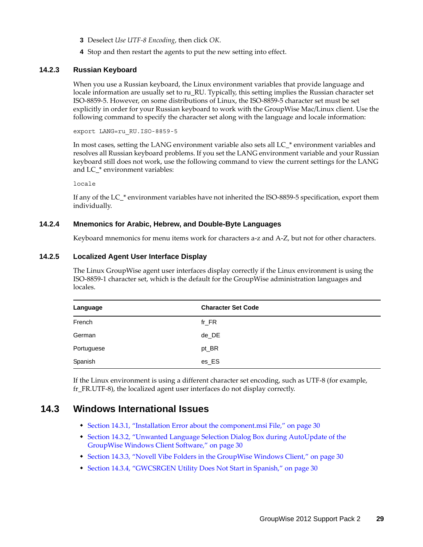- **3** Deselect *Use UTF-8 Encoding*, then click *OK*.
- **4** Stop and then restart the agents to put the new setting into effect.

#### <span id="page-28-1"></span>**14.2.3 Russian Keyboard**

When you use a Russian keyboard, the Linux environment variables that provide language and locale information are usually set to ru\_RU. Typically, this setting implies the Russian character set ISO-8859-5. However, on some distributions of Linux, the ISO-8859-5 character set must be set explicitly in order for your Russian keyboard to work with the GroupWise Mac/Linux client. Use the following command to specify the character set along with the language and locale information:

export LANG=ru\_RU.ISO-8859-5

In most cases, setting the LANG environment variable also sets all LC\_\* environment variables and resolves all Russian keyboard problems. If you set the LANG environment variable and your Russian keyboard still does not work, use the following command to view the current settings for the LANG and LC\_\* environment variables:

locale

If any of the LC\_\* environment variables have not inherited the ISO-8859-5 specification, export them individually.

#### <span id="page-28-2"></span>**14.2.4 Mnemonics for Arabic, Hebrew, and Double-Byte Languages**

Keyboard mnemonics for menu items work for characters a-z and A-Z, but not for other characters.

#### <span id="page-28-3"></span>**14.2.5 Localized Agent User Interface Display**

The Linux GroupWise agent user interfaces display correctly if the Linux environment is using the ISO-8859-1 character set, which is the default for the GroupWise administration languages and locales.

| Language   | <b>Character Set Code</b> |
|------------|---------------------------|
| French     | $fr_F$ R                  |
| German     | de_DE                     |
| Portuguese | pt_BR                     |
| Spanish    | es_ES                     |

If the Linux environment is using a different character set encoding, such as UTF-8 (for example, fr\_FR.UTF-8), the localized agent user interfaces do not display correctly.

### <span id="page-28-0"></span>**14.3 Windows International Issues**

- [Section 14.3.1, "Installation Error about the component.msi File," on page 30](#page-29-0)
- [Section 14.3.2, "Unwanted Language Selection Dialog Box during AutoUpdate of the](#page-29-1)  [GroupWise Windows Client Software," on page 30](#page-29-1)
- [Section 14.3.3, "Novell Vibe Folders in the GroupWise Windows Client," on page 30](#page-29-2)
- [Section 14.3.4, "GWCSRGEN Utility Does Not Start in Spanish," on page 30](#page-29-3)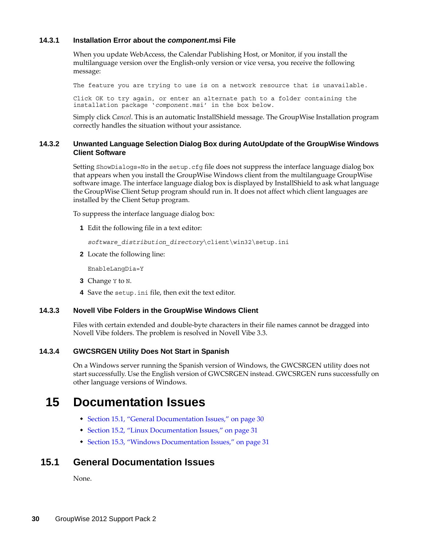#### <span id="page-29-0"></span>**14.3.1 Installation Error about the** *component***.msi File**

When you update WebAccess, the Calendar Publishing Host, or Monitor, if you install the multilanguage version over the English-only version or vice versa, you receive the following message:

The feature you are trying to use is on a network resource that is unavailable.

Click OK to try again, or enter an alternate path to a folder containing the installation package '*component*.msi' in the box below.

Simply click *Cancel*. This is an automatic InstallShield message. The GroupWise Installation program correctly handles the situation without your assistance.

#### <span id="page-29-1"></span>**14.3.2 Unwanted Language Selection Dialog Box during AutoUpdate of the GroupWise Windows Client Software**

Setting ShowDialogs=No in the setup.cfg file does not suppress the interface language dialog box that appears when you install the GroupWise Windows client from the multilanguage GroupWise software image. The interface language dialog box is displayed by InstallShield to ask what language the GroupWise Client Setup program should run in. It does not affect which client languages are installed by the Client Setup program.

To suppress the interface language dialog box:

**1** Edit the following file in a text editor:

*software\_distribution\_directory*\client\win32\setup.ini

**2** Locate the following line:

EnableLangDia=Y

- **3** Change Y to N.
- **4** Save the setup.ini file, then exit the text editor.

#### <span id="page-29-2"></span>**14.3.3 Novell Vibe Folders in the GroupWise Windows Client**

Files with certain extended and double-byte characters in their file names cannot be dragged into Novell Vibe folders. The problem is resolved in Novell Vibe 3.3.

#### <span id="page-29-3"></span>**14.3.4 GWCSRGEN Utility Does Not Start in Spanish**

On a Windows server running the Spanish version of Windows, the GWCSRGEN utility does not start successfully. Use the English version of GWCSRGEN instead. GWCSRGEN runs successfully on other language versions of Windows.

# **15 Documentation Issues**

- [Section 15.1, "General Documentation Issues," on page 30](#page-29-4)
- [Section 15.2, "Linux Documentation Issues," on page 31](#page-30-1)
- [Section 15.3, "Windows Documentation Issues," on page 31](#page-30-2)

### <span id="page-29-4"></span>**15.1 General Documentation Issues**

None.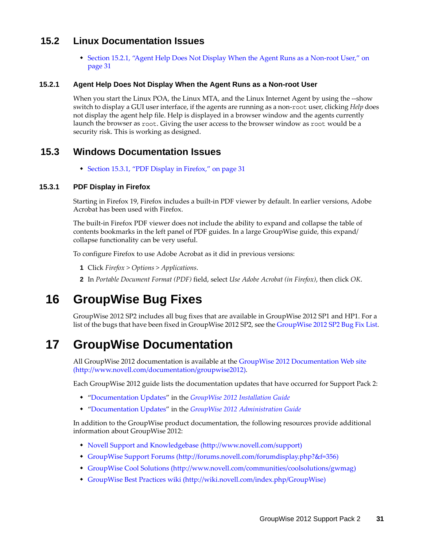## <span id="page-30-1"></span>**15.2 Linux Documentation Issues**

 [Section 15.2.1, "Agent Help Does Not Display When the Agent Runs as a Non-root User," on](#page-30-3)  [page 31](#page-30-3)

#### <span id="page-30-3"></span>**15.2.1 Agent Help Does Not Display When the Agent Runs as a Non-root User**

When you start the Linux POA, the Linux MTA, and the Linux Internet Agent by using the --show switch to display a GUI user interface, if the agents are running as a non-root user, clicking *Help* does not display the agent help file. Help is displayed in a browser window and the agents currently launch the browser as root. Giving the user access to the browser window as root would be a security risk. This is working as designed.

### <span id="page-30-2"></span>**15.3 Windows Documentation Issues**

[Section 15.3.1, "PDF Display in Firefox," on page 31](#page-30-4)

#### <span id="page-30-4"></span>**15.3.1 PDF Display in Firefox**

Starting in Firefox 19, Firefox includes a built-in PDF viewer by default. In earlier versions, Adobe Acrobat has been used with Firefox.

The built-in Firefox PDF viewer does not include the ability to expand and collapse the table of contents bookmarks in the left panel of PDF guides. In a large GroupWise guide, this expand/ collapse functionality can be very useful.

To configure Firefox to use Adobe Acrobat as it did in previous versions:

- **1** Click *Firefox > Options > Applications*.
- **2** In *Portable Document Format (PDF)* field, select *Use Adobe Acrobat (in Firefox)*, then click *OK*.

# **16 GroupWise Bug Fixes**

GroupWise 2012 SP2 includes all bug fixes that are available in GroupWise 2012 SP1 and HP1. For a list of the bugs that have been fixed in GroupWise 2012 SP2, see the [GroupWise 2012 SP2 Bug Fix List](https://www.novell.com/documentation/groupwise2012/gw2012_bug_fix_list/gw2012sp2_bugfixlist.html).

# <span id="page-30-0"></span>**17 GroupWise Documentation**

All GroupWise 2012 documentation is available at the [GroupWise 2012 Documentation Web site](http://www.novell.com/documentation/groupwise2012)  (http://www.novell.com/documentation/groupwise2012).

Each GroupWise 2012 guide lists the documentation updates that have occurred for Support Pack 2:

- "Documentation Updates" in the *GroupWise 2012 Installation Guide*
- "Documentation Updates" in the *GroupWise 2012 Administration Guide*

In addition to the GroupWise product documentation, the following resources provide additional information about GroupWise 2012:

- [Novell Support and Knowledgebase](http://www.novell.com/support) (http://www.novell.com/support)
- [GroupWise Support Forums](http://forums.novell.com/forumdisplay.php?&f=356) (http://forums.novell.com/forumdisplay.php?&f=356)
- [GroupWise Cool Solutions](http://www.novell.com/communities/coolsolutions/gwmag) (http://www.novell.com/communities/coolsolutions/gwmag)
- [GroupWise Best Practices wiki](http://wiki.novell.com/index.php/GroupWise) (http://wiki.novell.com/index.php/GroupWise)